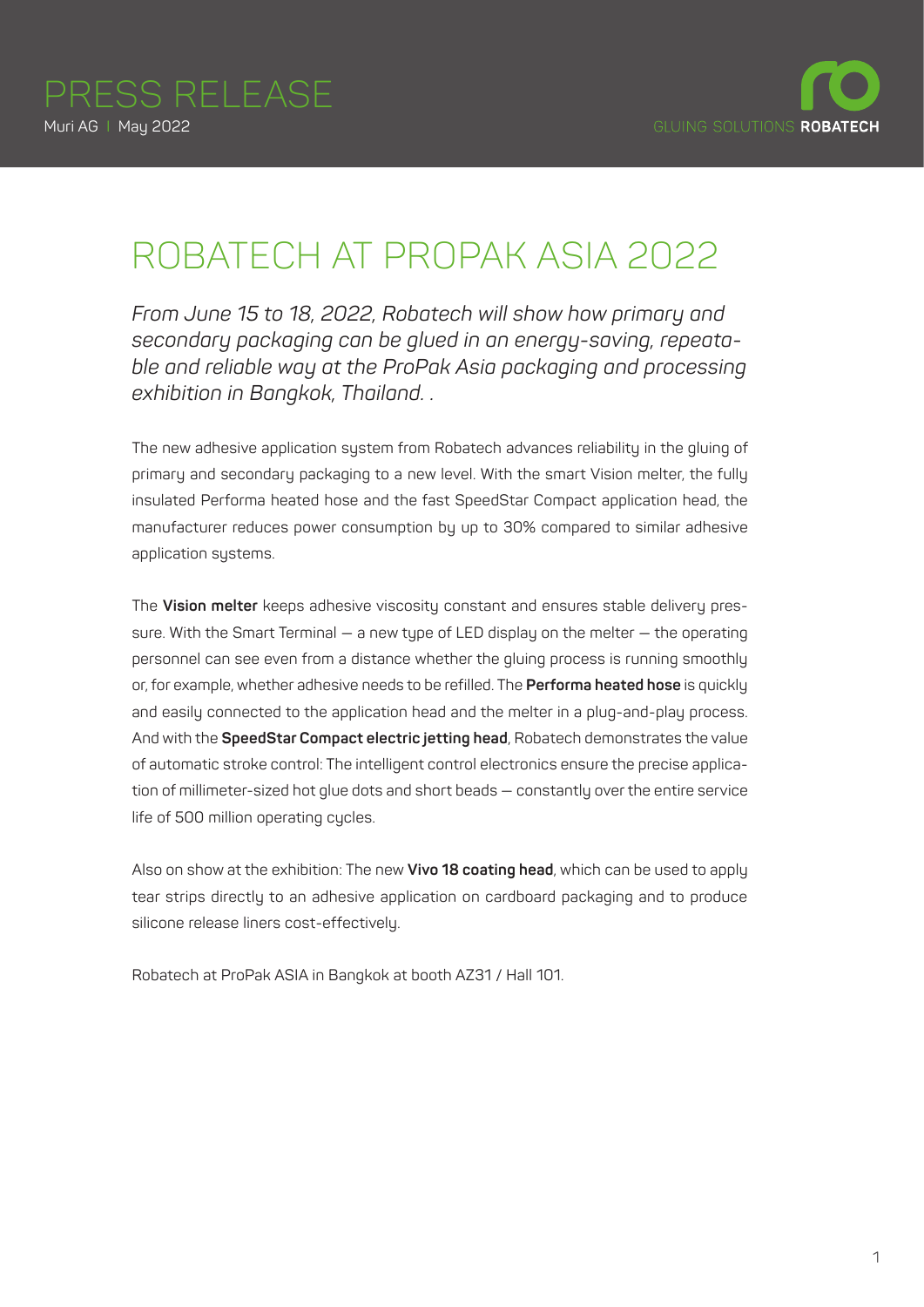

## ROBATECH AT PROPAK ASIA 2022

*From June 15 to 18, 2022, Robatech will show how primary and secondary packaging can be glued in an energy-saving, repeatable and reliable way at the ProPak Asia packaging and processing exhibition in Bangkok, Thailand. .* 

The new adhesive application system from Robatech advances reliability in the gluing of primary and secondary packaging to a new level. With the smart Vision melter, the fully insulated Performa heated hose and the fast SpeedStar Compact application head, the manufacturer reduces power consumption by up to 30% compared to similar adhesive application systems.

The **Vision melter** keeps adhesive viscosity constant and ensures stable delivery pressure. With the Smart Terminal — a new type of LED display on the melter — the operating personnel can see even from a distance whether the gluing process is running smoothly or, for example, whether adhesive needs to be refilled. The **Performa heated hose** is quickly and easily connected to the application head and the melter in a plug-and-play process. And with the **SpeedStar Compact electric jetting head**, Robatech demonstrates the value of automatic stroke control: The intelligent control electronics ensure the precise application of millimeter-sized hot glue dots and short beads — constantly over the entire service life of 500 million operating cycles.

Also on show at the exhibition: The new **Vivo 18 coating head**, which can be used to apply tear strips directly to an adhesive application on cardboard packaging and to produce silicone release liners cost-effectively.

Robatech at ProPak ASIA in Bangkok at booth AZ31 / Hall 101.